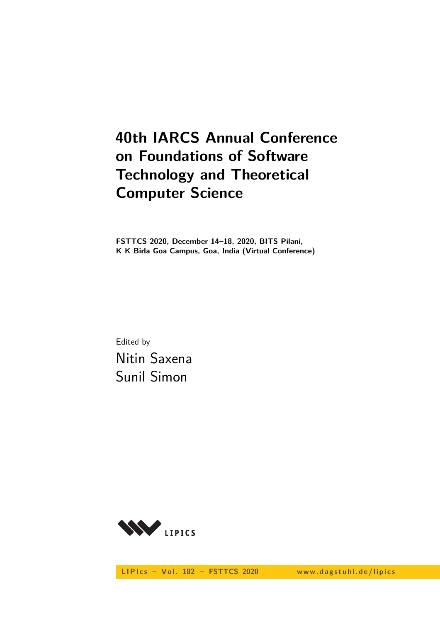# **40th IARCS Annual Conference on Foundations of Software Technology and Theoretical Computer Science**

**FSTTCS 2020, December 14–18, 2020, BITS Pilani, K K Birla Goa Campus, Goa, India (Virtual Conference)**

Edited by Nitin Saxena Sunil Simon



LIPIcs - Vol. 182 - FSTTCS 2020 www.dagstuhl.de/lipics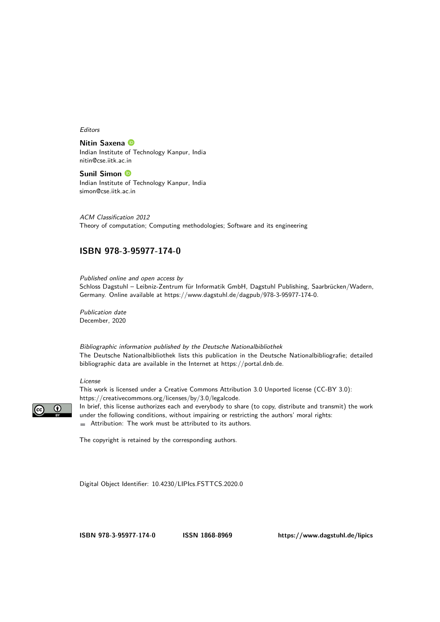Editors

**Nitin Saxena** Indian Institute of Technology Kanpur, India [nitin@cse.iitk.ac.in](mailto:nitin@cse.iitk.ac.in)

**Sunil Simon** Indian Institute of Technology Kanpur, India [simon@cse.iitk.ac.in](mailto:simon@cse.iitk.ac.in)

ACM Classification 2012 Theory of computation; Computing methodologies; Software and its engineering

## **[ISBN 978-3-95977-174-0](https://www.dagstuhl.de/dagpub/978-3-95977-174-0)**

Published online and open access by

Schloss Dagstuhl – Leibniz-Zentrum für Informatik GmbH, Dagstuhl Publishing, Saarbrücken/Wadern, Germany. Online available at [https://www.dagstuhl.de/dagpub/978-3-95977-174-0.](https://www.dagstuhl.de/dagpub/978-3-95977-174-0)

Publication date December, 2020

Bibliographic information published by the Deutsche Nationalbibliothek The Deutsche Nationalbibliothek lists this publication in the Deutsche Nationalbibliografie; detailed bibliographic data are available in the Internet at [https://portal.dnb.de.](https://portal.dnb.de)

#### License

This work is licensed under a Creative Commons Attribution 3.0 Unported license (CC-BY 3.0): [https://creativecommons.org/licenses/by/3.0/legalcode.](https://creativecommons.org/licenses/by/3.0/legalcode)



In brief, this license authorizes each and everybody to share (to copy, distribute and transmit) the work under the following conditions, without impairing or restricting the authors' moral rights: Attribution: The work must be attributed to its authors.

The copyright is retained by the corresponding authors.

Digital Object Identifier: [10.4230/LIPIcs.FSTTCS.2020.0](https://doi.org/10.4230/LIPIcs.FSTTCS.2020.0)

**[ISBN 978-3-95977-174-0](https://www.dagstuhl.de/dagpub/978-3-95977-174-0) [ISSN 1868-8969](https://www.dagstuhl.de/dagpub/1868-8969)<https://www.dagstuhl.de/lipics>**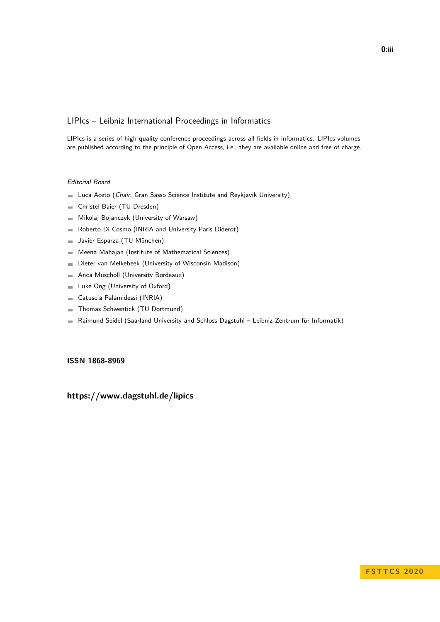## LIPIcs – Leibniz International Proceedings in Informatics

LIPIcs is a series of high-quality conference proceedings across all fields in informatics. LIPIcs volumes are published according to the principle of Open Access, i.e., they are available online and free of charge.

### Editorial Board

- **Luca Aceto** (*Chair*, Gran Sasso Science Institute and Reykjavik University)
- Christel Baier (TU Dresden)  $\equiv$
- Mikolaj Bojanczyk (University of Warsaw)  $\sim$
- Roberto Di Cosmo (INRIA and University Paris Diderot)  $\equiv$
- Javier Esparza (TU München)  $\sim$
- Meena Mahajan (Institute of Mathematical Sciences)  $\blacksquare$
- Dieter van Melkebeek (University of Wisconsin-Madison)  $\blacksquare$
- Anca Muscholl (University Bordeaux)  $\overline{a}$
- Luke Ong (University of Oxford)  $\blacksquare$
- Catuscia Palamidessi (INRIA)  $\blacksquare$
- Thomas Schwentick (TU Dortmund)  $\sim$
- Raimund Seidel (Saarland University and Schloss Dagstuhl Leibniz-Zentrum für Informatik)  $\blacksquare$

### **[ISSN 1868-8969](https://www.dagstuhl.de/dagpub/1868-8969)**

## **<https://www.dagstuhl.de/lipics>**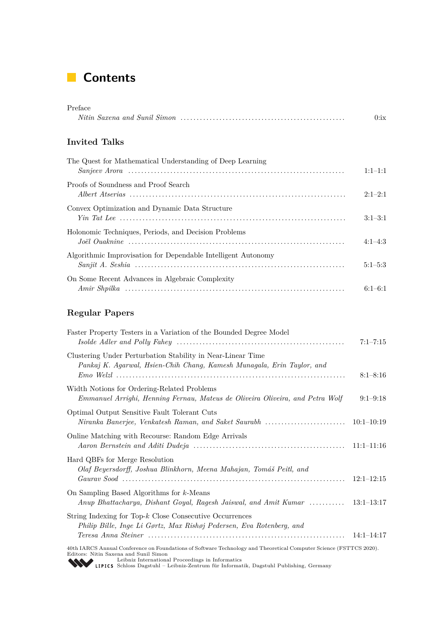# **Contents**

| Preface                                                       |             |
|---------------------------------------------------------------|-------------|
|                                                               | 0:ix        |
| Invited Talks                                                 |             |
| The Quest for Mathematical Understanding of Deep Learning     | $1:1-1:1$   |
| Proofs of Soundness and Proof Search                          | $2:1-2:1$   |
| Convex Optimization and Dynamic Data Structure                | $3:1-3:1$   |
| Holonomic Techniques, Periods, and Decision Problems          | $4:1-4:3$   |
| Algorithmic Improvisation for Dependable Intelligent Autonomy | $5:1 - 5:3$ |
| On Some Recent Advances in Algebraic Complexity               | $6:1-6:1$   |

# **Regular Papers**

| Faster Property Testers in a Variation of the Bounded Degree Model                                                                                                                                              | $7:1 - 7:15$ |
|-----------------------------------------------------------------------------------------------------------------------------------------------------------------------------------------------------------------|--------------|
| Clustering Under Perturbation Stability in Near-Linear Time<br>Pankaj K. Agarwal, Hsien-Chih Chang, Kamesh Munagala, Erin Taylor, and                                                                           | $8:1 - 8:16$ |
| Width Notions for Ordering-Related Problems<br>Emmanuel Arrighi, Henning Fernau, Mateus de Oliveira Oliveira, and Petra Wolf                                                                                    | $9:1-9:18$   |
| Optimal Output Sensitive Fault Tolerant Cuts<br>Niranka Banerjee, Venkatesh Raman, and Saket Saurabh                                                                                                            | $10:1-10:19$ |
| Online Matching with Recourse: Random Edge Arrivals                                                                                                                                                             | $11:1-11:16$ |
| Hard QBFs for Merge Resolution<br>Olaf Beyersdorff, Joshua Blinkhorn, Meena Mahajan, Tomáš Peitl, and                                                                                                           | $12:1-12:15$ |
| On Sampling Based Algorithms for $k$ -Means<br>Anup Bhattacharya, Dishant Goyal, Ragesh Jaiswal, and Amit Kumar  13:1–13:17                                                                                     |              |
| String Indexing for Top- $k$ Close Consecutive Occurrences<br>Philip Bille, Inge Li Gørtz, Max Rishøj Pedersen, Eva Rotenberg, and                                                                              | $14:1-14:17$ |
| 40th IARCS Annual Conference on Foundations of Software Technology and Theoretical Computer Science (FSTTCS 2020).<br>Editors: Nitin Saxena and Sunil Simon<br>Loibniz International Preceedings in Informatics |              |

Leibniz International Proceedings in Informatics<br>LIPICS Schloss Dagstuhl – Leibniz-Zentrum für Informatik, Dagstuhl Publishing, Germany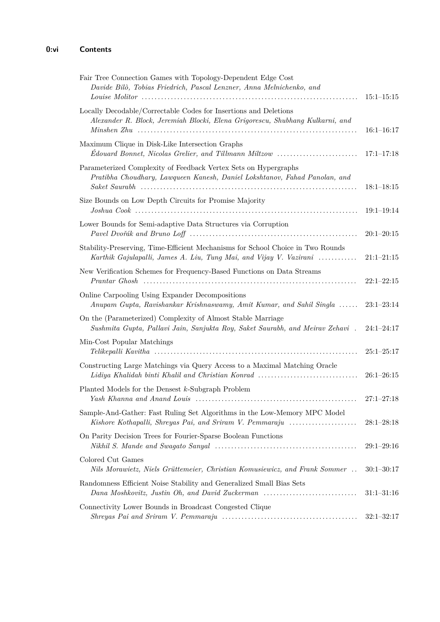| Fair Tree Connection Games with Topology-Dependent Edge Cost<br>Davide Bilò, Tobias Friedrich, Pascal Lenzner, Anna Melnichenko, and                  | $15:1 - 15:15$     |
|-------------------------------------------------------------------------------------------------------------------------------------------------------|--------------------|
| Locally Decodable/Correctable Codes for Insertions and Deletions<br>Alexander R. Block, Jeremiah Blocki, Elena Grigorescu, Shubhang Kulkarni, and     | $16:1 - 16:17$     |
| Maximum Clique in Disk-Like Intersection Graphs<br>Edouard Bonnet, Nicolas Grelier, and Tillmann Miltzow                                              | $17:1 - 17:18$     |
| Parameterized Complexity of Feedback Vertex Sets on Hypergraphs<br>Pratibha Choudhary, Lawqueen Kanesh, Daniel Lokshtanov, Fahad Panolan, and         | $18:1-18:15$       |
| Size Bounds on Low Depth Circuits for Promise Majority                                                                                                | $19:1-19:14$       |
| Lower Bounds for Semi-adaptive Data Structures via Corruption                                                                                         | $20:1-20:15$       |
| Stability-Preserving, Time-Efficient Mechanisms for School Choice in Two Rounds<br>Karthik Gajulapalli, James A. Liu, Tung Mai, and Vijay V. Vazirani | $21:1 - 21:15$     |
| New Verification Schemes for Frequency-Based Functions on Data Streams                                                                                | $22:1-22:15$       |
| Online Carpooling Using Expander Decompositions<br>Anupam Gupta, Ravishankar Krishnaswamy, Amit Kumar, and Sahil Singla                               | $23:1-23:14$       |
| On the (Parameterized) Complexity of Almost Stable Marriage<br>Sushmita Gupta, Pallavi Jain, Sanjukta Roy, Saket Saurabh, and Meirav Zehavi.          | $24:1 - 24:17$     |
| Min-Cost Popular Matchings                                                                                                                            | $25:1-25:17$       |
| Constructing Large Matchings via Query Access to a Maximal Matching Oracle<br>Lidiya Khalidah binti Khalil and Christian Konrad                       | $26:1 - 26:15$     |
| Planted Models for the Densest $k$ -Subgraph Problem                                                                                                  | $27:1 - 27:18$     |
| Sample-And-Gather: Fast Ruling Set Algorithms in the Low-Memory MPC Model<br>Kishore Kothapalli, Shreyas Pai, and Sriram V. Pemmaraju                 | $28:1 - 28:18$     |
| On Parity Decision Trees for Fourier-Sparse Boolean Functions                                                                                         | $29{:}1{-}29{:}16$ |
| Colored Cut Games<br>Nils Morawietz, Niels Grüttemeier, Christian Komusiewicz, and Frank Sommer                                                       | $30:1 - 30:17$     |
| Randomness Efficient Noise Stability and Generalized Small Bias Sets<br>Dana Moshkovitz, Justin Oh, and David Zuckerman                               | $31:1 - 31:16$     |
| Connectivity Lower Bounds in Broadcast Congested Clique                                                                                               | $32:1 - 32:17$     |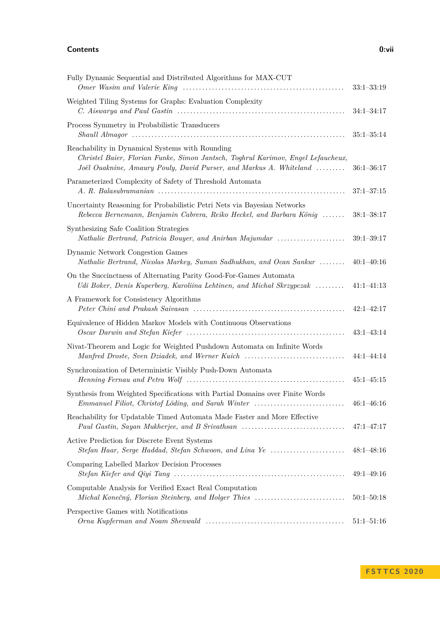#### **Contents 0:vii**

| Fully Dynamic Sequential and Distributed Algorithms for MAX-CUT                                                                                                                                           | $33:1 - 33:19$ |
|-----------------------------------------------------------------------------------------------------------------------------------------------------------------------------------------------------------|----------------|
| Weighted Tiling Systems for Graphs: Evaluation Complexity                                                                                                                                                 |                |
|                                                                                                                                                                                                           | $34:1 - 34:17$ |
| Process Symmetry in Probabilistic Transducers                                                                                                                                                             |                |
|                                                                                                                                                                                                           | $35:1 - 35:14$ |
| Reachability in Dynamical Systems with Rounding<br>Christel Baier, Florian Funke, Simon Jantsch, Toghrul Karimov, Engel Lefaucheux,<br>Joël Ouaknine, Amaury Pouly, David Purser, and Markus A. Whiteland | $36:1 - 36:17$ |
| Parameterized Complexity of Safety of Threshold Automata                                                                                                                                                  | $37:1 - 37:15$ |
| Uncertainty Reasoning for Probabilistic Petri Nets via Bayesian Networks<br>Rebecca Bernemann, Benjamin Cabrera, Reiko Heckel, and Barbara König                                                          | $38:1 - 38:17$ |
| Synthesizing Safe Coalition Strategies<br>Nathalie Bertrand, Patricia Bouyer, and Anirban Majumdar                                                                                                        | $39:1 - 39:17$ |
| Dynamic Network Congestion Games<br>Nathalie Bertrand, Nicolas Markey, Suman Sadhukhan, and Ocan Sankur                                                                                                   | $40:1 - 40:16$ |
| On the Succinctness of Alternating Parity Good-For-Games Automata<br>Udi Boker, Denis Kuperberg, Karoliina Lehtinen, and Michal Skrzypczak                                                                | $41:1-41:13$   |
| A Framework for Consistency Algorithms                                                                                                                                                                    | $42:1 - 42:17$ |
| Equivalence of Hidden Markov Models with Continuous Observations                                                                                                                                          | $43:1-43:14$   |
| Nivat-Theorem and Logic for Weighted Pushdown Automata on Infinite Words<br>Manfred Droste, Sven Dziadek, and Werner Kuich                                                                                | $44:1 - 44:14$ |
| Synchronization of Deterministic Visibly Push-Down Automata                                                                                                                                               | $45:1 - 45:15$ |
| Synthesis from Weighted Specifications with Partial Domains over Finite Words<br>Emmanuel Filiot, Christof Löding, and Sarah Winter                                                                       | $46:1 - 46:16$ |
| Reachability for Updatable Timed Automata Made Faster and More Effective<br>Paul Gastin, Sayan Mukherjee, and B Srivathsan                                                                                | $47:1 - 47:17$ |
| Active Prediction for Discrete Event Systems<br>Stefan Haar, Serge Haddad, Stefan Schwoon, and Lina Ye                                                                                                    | $48:1 - 48:16$ |
| Comparing Labelled Markov Decision Processes                                                                                                                                                              | $49:1 - 49:16$ |
| Computable Analysis for Verified Exact Real Computation<br>Michal Konečný, Florian Steinberg, and Holger Thies                                                                                            | $50:1 - 50:18$ |
| Perspective Games with Notifications                                                                                                                                                                      | $51:1 - 51:16$ |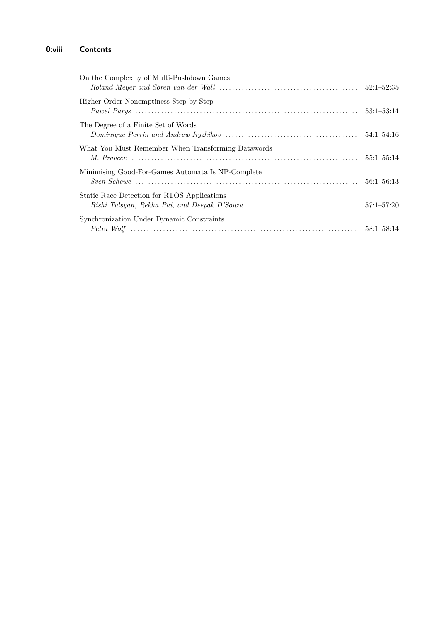# **0:viii Contents**

| On the Complexity of Multi-Pushdown Games          |                |
|----------------------------------------------------|----------------|
| Higher-Order Nonemptiness Step by Step             | $53:1 - 53:14$ |
| The Degree of a Finite Set of Words                |                |
| What You Must Remember When Transforming Datawords | $55:1 - 55:14$ |
| Minimising Good-For-Games Automata Is NP-Complete  |                |
| Static Race Detection for RTOS Applications        |                |
| Synchronization Under Dynamic Constraints          |                |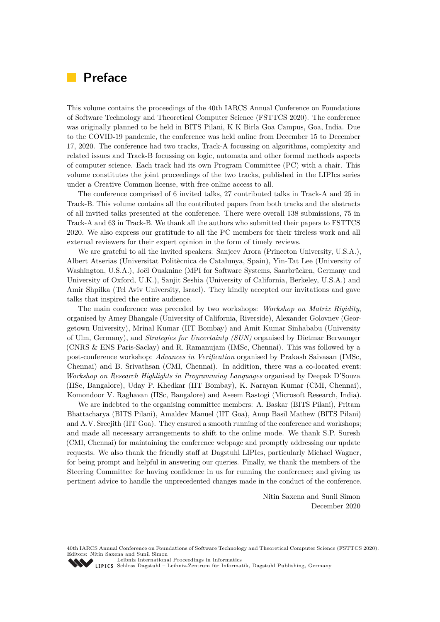# <span id="page-8-0"></span>**Preface**

This volume contains the proceedings of the 40th IARCS Annual Conference on Foundations of Software Technology and Theoretical Computer Science (FSTTCS 2020). The conference was originally planned to be held in BITS Pilani, K K Birla Goa Campus, Goa, India. Due to the COVID-19 pandemic, the conference was held online from December 15 to December 17, 2020. The conference had two tracks, Track-A focussing on algorithms, complexity and related issues and Track-B focussing on logic, automata and other formal methods aspects of computer science. Each track had its own Program Committee (PC) with a chair. This volume constitutes the joint proceedings of the two tracks, published in the LIPIcs series under a Creative Common license, with free online access to all.

The conference comprised of 6 invited talks, 27 contributed talks in Track-A and 25 in Track-B. This volume contains all the contributed papers from both tracks and the abstracts of all invited talks presented at the conference. There were overall 138 submissions, 75 in Track-A and 63 in Track-B. We thank all the authors who submitted their papers to FSTTCS 2020. We also express our gratitude to all the PC members for their tireless work and all external reviewers for their expert opinion in the form of timely reviews.

We are grateful to all the invited speakers: Sanjeev Arora (Princeton University, U.S.A.), Albert Atserias (Universitat Politècnica de Catalunya, Spain), Yin-Tat Lee (University of Washington, U.S.A.), Joël Ouaknine (MPI for Software Systems, Saarbrücken, Germany and University of Oxford, U.K.), Sanjit Seshia (University of California, Berkeley, U.S.A.) and Amir Shpilka (Tel Aviv University, Israel). They kindly accepted our invitations and gave talks that inspired the entire audience.

The main conference was preceded by two workshops: *Workshop on Matrix Rigidity*, organised by Amey Bhangale (University of California, Riverside), Alexander Golovnev (Georgetown University), Mrinal Kumar (IIT Bombay) and Amit Kumar Sinhababu (University of Ulm, Germany), and *Strategies for Uncertainty (SUN)* organised by Dietmar Berwanger (CNRS & ENS Paris-Saclay) and R. Ramanujam (IMSc, Chennai). This was followed by a post-conference workshop: *Advances in Verification* organised by Prakash Saivasan (IMSc, Chennai) and B. Srivathsan (CMI, Chennai). In addition, there was a co-located event: *Workshop on Research Highlights in Programming Languages* organised by Deepak D'Souza (IISc, Bangalore), Uday P. Khedkar (IIT Bombay), K. Narayan Kumar (CMI, Chennai), Komondoor V. Raghavan (IISc, Bangalore) and Aseem Rastogi (Microsoft Research, India).

We are indebted to the organising committee members: A. Baskar (BITS Pilani), Pritam Bhattacharya (BITS Pilani), Amaldev Manuel (IIT Goa), Anup Basil Mathew (BITS Pilani) and A.V. Sreejith (IIT Goa). They ensured a smooth running of the conference and workshops; and made all necessary arrangements to shift to the online mode. We thank S.P. Suresh (CMI, Chennai) for maintaining the conference webpage and promptly addressing our update requests. We also thank the friendly staff at Dagstuhl LIPIcs, particularly Michael Wagner, for being prompt and helpful in answering our queries. Finally, we thank the members of the Steering Committee for having confidence in us for running the conference; and giving us pertinent advice to handle the unprecedented changes made in the conduct of the conference.

> Nitin Saxena and Sunil Simon December 2020

40th IARCS Annual Conference on Foundations of Software Technology and Theoretical Computer Science (FSTTCS 2020). Editors: Nitin Saxena and Sunil Simon

[Leibniz International Proceedings in Informatics](https://www.dagstuhl.de/lipics/) [Schloss Dagstuhl – Leibniz-Zentrum für Informatik, Dagstuhl Publishing, Germany](https://www.dagstuhl.de)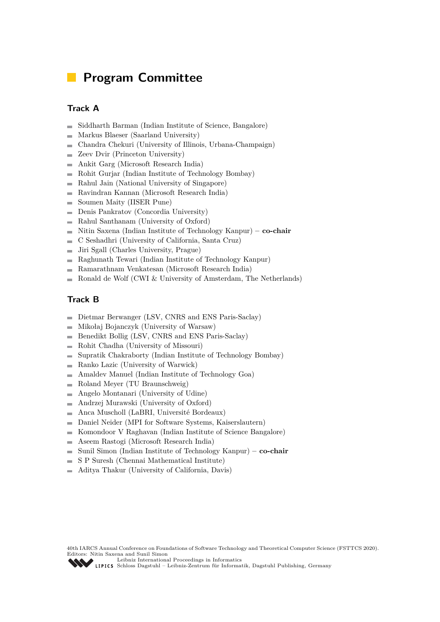# **Program Committee**

# **Track A**

- Siddharth Barman (Indian Institute of Science, Bangalore)  $\overline{a}$
- Markus Blaeser (Saarland University)  $\overline{a}$
- Chandra Chekuri (University of Illinois, Urbana-Champaign) ÷
- Zeev Dvir (Princeton University)  $\overline{\phantom{a}}$
- Ankit Garg (Microsoft Research India)  $\overline{\phantom{0}}$
- Rohit Gurjar (Indian Institute of Technology Bombay)  $\mathcal{L}_{\mathcal{A}}$
- Rahul Jain (National University of Singapore)  $\blacksquare$
- Ravindran Kannan (Microsoft Research India)  $\rightarrow$
- Soumen Maity (IISER Pune)
- Denis Pankratov (Concordia University)  $\blacksquare$
- $\blacksquare$ Rahul Santhanam (University of Oxford)
- Nitin Saxena (Indian Institute of Technology Kanpur)  **co-chair**  $\blacksquare$
- C Seshadhri (University of California, Santa Cruz) ÷
- Jiri Sgall (Charles University, Prague)  $\overline{a}$
- Raghunath Tewari (Indian Institute of Technology Kanpur)  $\overline{\phantom{a}}$
- Ramarathnam Venkatesan (Microsoft Research India)  $\overline{a}$
- Ronald de Wolf (CWI & University of Amsterdam, The Netherlands)  $\overline{a}$

## **Track B**

- Dietmar Berwanger (LSV, CNRS and ENS Paris-Saclay)  $\blacksquare$
- Mikołaj Bojanczyk (University of Warsaw)  $\overline{a}$
- Benedikt Bollig (LSV, CNRS and ENS Paris-Saclay)  $\overline{a}$
- Rohit Chadha (University of Missouri)  $\overline{a}$
- Supratik Chakraborty (Indian Institute of Technology Bombay)  $\overline{a}$
- Ranko Lazic (University of Warwick)  $\sim$
- Amaldev Manuel (Indian Institute of Technology Goa)  $\overline{a}$
- Roland Meyer (TU Braunschweig)  $\blacksquare$
- Angelo Montanari (University of Udine)  $\rightarrow$
- Andrzej Murawski (University of Oxford)  $\blacksquare$
- Anca Muscholl (LaBRI, Université Bordeaux)  $\overline{\phantom{a}}$
- Daniel Neider (MPI for Software Systems, Kaiserslautern)  $\overline{\phantom{a}}$
- Komondoor V Raghavan (Indian Institute of Science Bangalore)  $\blacksquare$
- Aseem Rastogi (Microsoft Research India) Ē.
- Sunil Simon (Indian Institute of Technology Kanpur)  **co-chair**  $\overline{a}$
- S P Suresh (Chennai Mathematical Institute)  $\overline{\phantom{0}}$
- Aditya Thakur (University of California, Davis)

[Schloss Dagstuhl – Leibniz-Zentrum für Informatik, Dagstuhl Publishing, Germany](https://www.dagstuhl.de)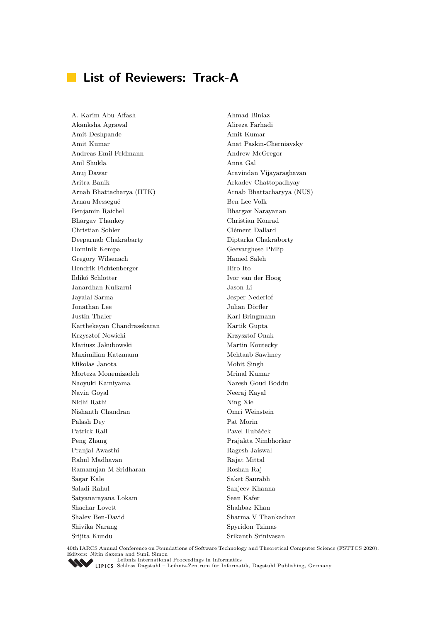# **List of Reviewers: Track-A**

A. Karim Abu-Affash Ahmad Biniaz Akanksha Agrawal Alireza Farhadi Amit Deshpande Amit Kumar Amit Kumar Anat Paskin-Cherniavsky Andreas Emil Feldmann Andrew McGregor Anil Shukla Anna Gal Anuj Dawar Aravindan Vijayaraghavan Aritra Banik Arkadev Chattopadhyay Arnab Bhattacharya (IITK) Arnab Bhattacharyya (NUS) Arnau Messegué Ben Lee Volk Benjamin Raichel Bhargav Narayanan Bhargav Thankey Christian Konrad Christian Sohler Clément Dallard Deeparnab Chakrabarty Diptarka Chakraborty Dominik Kempa Geevarghese Philip Gregory Wilsenach Hamed Saleh Hendrik Fichtenberger Hiro Ito Ildikó Schlotter Ivor van der Hoog Janardhan Kulkarni Jason Li Jayalal Sarma Jesper Nederlof Jonathan Lee Julian Dörfler Justin Thaler Karl Bringmann Karthekeyan Chandrasekaran Kartik Gupta Krzysztof Nowicki Krzysztof Onak Mariusz Jakubowski Martin Koutecky Maximilian Katzmann Mehtaab Sawhney Mikolas Janota Mohit Singh Morteza Monemizadeh Mrinal Kumar Naoyuki Kamiyama Naresh Goud Boddu Navin Goyal Neeraj Kayal Nidhi Rathi Ning Xie Nishanth Chandran Omri Weinstein Palash Dey Pat Morin Patrick Rall Pavel Hubáček Peng Zhang Prajakta Nimbhorkar Pranjal Awasthi Ragesh Jaiswal Rahul Madhavan Rajat Mittal Ramanujan M Sridharan Roshan Raj Sagar Kale Saket Saurabh Saladi Rahul Sanjeev Khanna Satyanarayana Lokam Sean Kafer Shachar Lovett Shahbaz Khan Shalev Ben-David Sharma V Thankachan Shivika Narang Spyridon Tzimas Srijita Kundu Srikanth Srinivasan

40th IARCS Annual Conference on Foundations of Software Technology and Theoretical Computer Science (FSTTCS 2020). Editors: Nitin Saxena and Sunil Simon<br>Leibniz International Proceedings in Informatics

[Leibniz International Proceedings in Informatics](https://www.dagstuhl.de/lipics/) [Schloss Dagstuhl – Leibniz-Zentrum für Informatik, Dagstuhl Publishing, Germany](https://www.dagstuhl.de)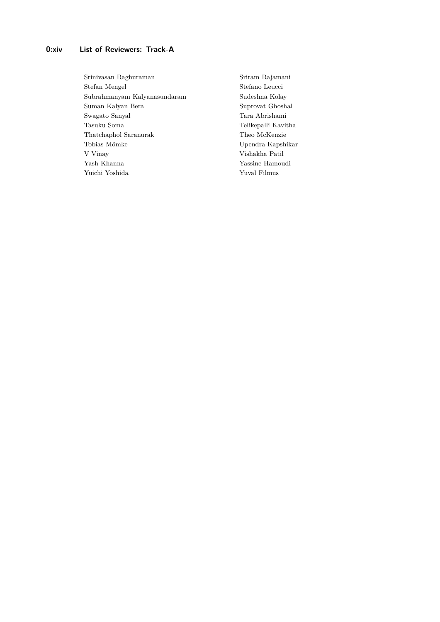## **0:xiv List of Reviewers: Track-A**

Srinivasan Raghuraman Sriram Rajamani Stefan Mengel Stefano Leucci Subrahmanyam Kalyanasundaram Sudeshna Kolay Suman Kalyan Bera Suprovat Ghoshal Swagato Sanyal Tara Abrishami Tasuku Soma Telikepalli Kavitha Thatchaphol Saranurak Theo McKenzie Tobias Mömke Upendra Kapshikar V Vinay Vishakha Patil Yash Khanna Yassine Hamoudi Yuichi Yoshida Yuval Filmus